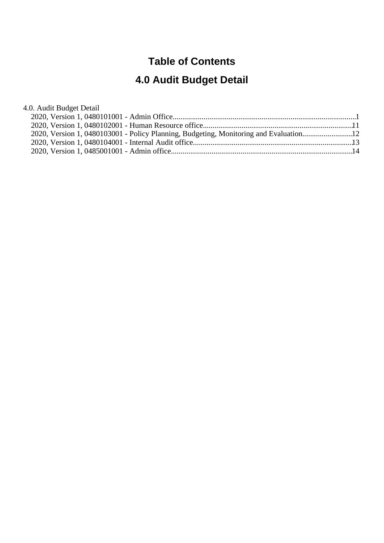### **Table of Contents**

# **4.0 Audit Budget Detail**

| 4.0. Audit Budget Detail                                                              |  |
|---------------------------------------------------------------------------------------|--|
|                                                                                       |  |
|                                                                                       |  |
| 2020, Version 1, 0480103001 - Policy Planning, Budgeting, Monitoring and Evaluation12 |  |
|                                                                                       |  |
|                                                                                       |  |
|                                                                                       |  |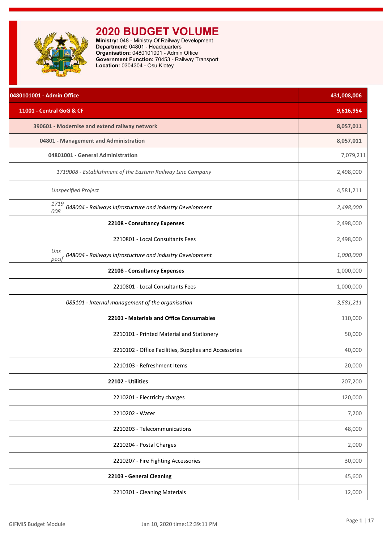<span id="page-1-0"></span>

| 0480101001 - Admin Office                                                | 431,008,006 |
|--------------------------------------------------------------------------|-------------|
| 11001 - Central GoG & CF                                                 | 9,616,954   |
| 390601 - Modernise and extend railway network                            | 8,057,011   |
| 04801 - Management and Administration                                    | 8,057,011   |
| 04801001 - General Administration                                        | 7,079,211   |
| 1719008 - Establishment of the Eastern Railway Line Company              | 2,498,000   |
| <b>Unspecified Project</b>                                               | 4,581,211   |
| 1719<br>048004 - Railways Infrastucture and Industry Development<br>008  | 2,498,000   |
| 22108 - Consultancy Expenses                                             | 2,498,000   |
| 2210801 - Local Consultants Fees                                         | 2,498,000   |
| Uns<br>048004 - Railways Infrastucture and Industry Development<br>pecif | 1,000,000   |
| 22108 - Consultancy Expenses                                             | 1,000,000   |
| 2210801 - Local Consultants Fees                                         | 1,000,000   |
| 085101 - Internal management of the organisation                         | 3,581,211   |
| 22101 - Materials and Office Consumables                                 | 110,000     |
| 2210101 - Printed Material and Stationery                                | 50,000      |
| 2210102 - Office Facilities, Supplies and Accessories                    | 40,000      |
| 2210103 - Refreshment Items                                              | 20,000      |
| 22102 - Utilities                                                        | 207,200     |
| 2210201 - Electricity charges                                            | 120,000     |
| 2210202 - Water                                                          | 7,200       |
| 2210203 - Telecommunications                                             | 48,000      |
| 2210204 - Postal Charges                                                 | 2,000       |
| 2210207 - Fire Fighting Accessories                                      | 30,000      |
| 22103 - General Cleaning                                                 | 45,600      |
| 2210301 - Cleaning Materials                                             | 12,000      |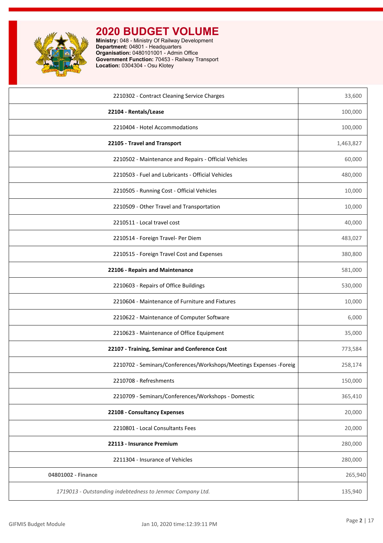

| 2210302 - Contract Cleaning Service Charges                        | 33,600    |
|--------------------------------------------------------------------|-----------|
| 22104 - Rentals/Lease                                              | 100,000   |
| 2210404 - Hotel Accommodations                                     | 100,000   |
| 22105 - Travel and Transport                                       | 1,463,827 |
| 2210502 - Maintenance and Repairs - Official Vehicles              | 60,000    |
| 2210503 - Fuel and Lubricants - Official Vehicles                  | 480,000   |
| 2210505 - Running Cost - Official Vehicles                         | 10,000    |
| 2210509 - Other Travel and Transportation                          | 10,000    |
| 2210511 - Local travel cost                                        | 40,000    |
| 2210514 - Foreign Travel- Per Diem                                 | 483,027   |
| 2210515 - Foreign Travel Cost and Expenses                         | 380,800   |
| 22106 - Repairs and Maintenance                                    | 581,000   |
| 2210603 - Repairs of Office Buildings                              | 530,000   |
| 2210604 - Maintenance of Furniture and Fixtures                    | 10,000    |
| 2210622 - Maintenance of Computer Software                         | 6,000     |
| 2210623 - Maintenance of Office Equipment                          | 35,000    |
| 22107 - Training, Seminar and Conference Cost                      | 773,584   |
| 2210702 - Seminars/Conferences/Workshops/Meetings Expenses -Foreig | 258,174   |
| 2210708 - Refreshments                                             | 150,000   |
| 2210709 - Seminars/Conferences/Workshops - Domestic                | 365,410   |
| 22108 - Consultancy Expenses                                       | 20,000    |
| 2210801 - Local Consultants Fees                                   | 20,000    |
| 22113 - Insurance Premium                                          | 280,000   |
| 2211304 - Insurance of Vehicles                                    | 280,000   |
| 04801002 - Finance                                                 | 265,940   |
| 1719013 - Outstanding indebtedness to Jenmac Company Ltd.          | 135,940   |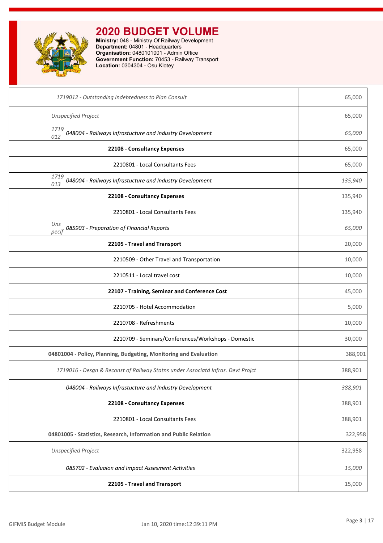

| 1719012 - Outstanding indebtedness to Plan Consult                              | 65,000  |
|---------------------------------------------------------------------------------|---------|
| <b>Unspecified Project</b>                                                      | 65,000  |
| 1719<br>048004 - Railways Infrastucture and Industry Development<br>012         | 65,000  |
| 22108 - Consultancy Expenses                                                    | 65,000  |
| 2210801 - Local Consultants Fees                                                | 65,000  |
| 1719<br>048004 - Railways Infrastucture and Industry Development<br>013         | 135,940 |
| 22108 - Consultancy Expenses                                                    | 135,940 |
| 2210801 - Local Consultants Fees                                                | 135,940 |
| Uns<br>085903 - Preparation of Financial Reports<br>pecif                       | 65,000  |
| 22105 - Travel and Transport                                                    | 20,000  |
| 2210509 - Other Travel and Transportation                                       | 10,000  |
| 2210511 - Local travel cost                                                     | 10,000  |
| 22107 - Training, Seminar and Conference Cost                                   | 45,000  |
| 2210705 - Hotel Accommodation                                                   | 5,000   |
| 2210708 - Refreshments                                                          | 10,000  |
| 2210709 - Seminars/Conferences/Workshops - Domestic                             | 30,000  |
| 04801004 - Policy, Planning, Budgeting, Monitoring and Evaluation               | 388,901 |
| 1719016 - Desgn & Reconst of Railway Statns under Associatd Infras. Devt Projct | 388,901 |
| 048004 - Railways Infrastucture and Industry Development                        | 388,901 |
| 22108 - Consultancy Expenses                                                    | 388,901 |
| 2210801 - Local Consultants Fees                                                | 388,901 |
| 04801005 - Statistics, Research, Information and Public Relation                | 322,958 |
| <b>Unspecified Project</b>                                                      | 322,958 |
| 085702 - Evaluaion and Impact Assesment Activities                              | 15,000  |
| 22105 - Travel and Transport                                                    | 15,000  |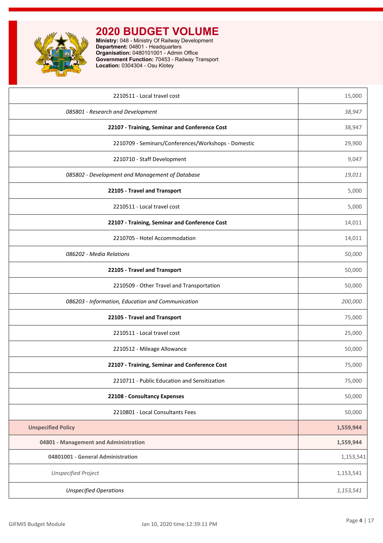

| 2210511 - Local travel cost                         | 15,000    |
|-----------------------------------------------------|-----------|
| 085801 - Research and Development                   | 38,947    |
| 22107 - Training, Seminar and Conference Cost       | 38,947    |
| 2210709 - Seminars/Conferences/Workshops - Domestic | 29,900    |
| 2210710 - Staff Development                         | 9,047     |
| 085802 - Development and Management of Database     | 19,011    |
| 22105 - Travel and Transport                        | 5,000     |
| 2210511 - Local travel cost                         | 5,000     |
| 22107 - Training, Seminar and Conference Cost       | 14,011    |
| 2210705 - Hotel Accommodation                       | 14,011    |
| 086202 - Media Relations                            | 50,000    |
| 22105 - Travel and Transport                        | 50,000    |
| 2210509 - Other Travel and Transportation           | 50,000    |
| 086203 - Information, Education and Communication   | 200,000   |
| 22105 - Travel and Transport                        | 75,000    |
| 2210511 - Local travel cost                         | 25,000    |
| 2210512 - Mileage Allowance                         | 50,000    |
| 22107 - Training, Seminar and Conference Cost       | 75,000    |
| 2210711 - Public Education and Sensitization        | 75,000    |
| 22108 - Consultancy Expenses                        | 50,000    |
| 2210801 - Local Consultants Fees                    | 50,000    |
| <b>Unspecified Policy</b>                           | 1,559,944 |
| 04801 - Management and Administration               | 1,559,944 |
| 04801001 - General Administration                   | 1,153,541 |
| <b>Unspecified Project</b>                          | 1,153,541 |
| <b>Unspecified Operations</b>                       | 1,153,541 |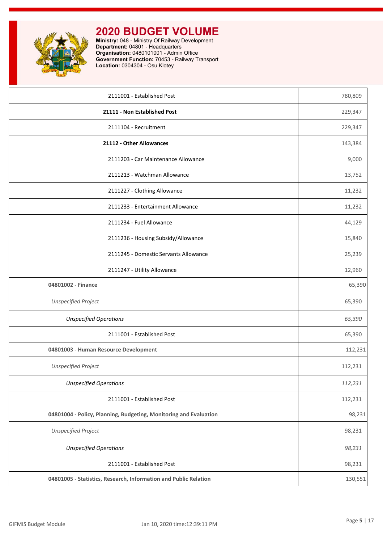

| 2111001 - Established Post                                        | 780,809 |
|-------------------------------------------------------------------|---------|
| 21111 - Non Established Post                                      | 229,347 |
| 2111104 - Recruitment                                             | 229,347 |
| 21112 - Other Allowances                                          | 143,384 |
| 2111203 - Car Maintenance Allowance                               | 9,000   |
| 2111213 - Watchman Allowance                                      | 13,752  |
| 2111227 - Clothing Allowance                                      | 11,232  |
| 2111233 - Entertainment Allowance                                 | 11,232  |
| 2111234 - Fuel Allowance                                          | 44,129  |
| 2111236 - Housing Subsidy/Allowance                               | 15,840  |
| 2111245 - Domestic Servants Allowance                             | 25,239  |
| 2111247 - Utility Allowance                                       | 12,960  |
| 04801002 - Finance                                                | 65,390  |
| <b>Unspecified Project</b>                                        | 65,390  |
| <b>Unspecified Operations</b>                                     | 65,390  |
| 2111001 - Established Post                                        | 65,390  |
| 04801003 - Human Resource Development                             | 112,231 |
| <b>Unspecified Project</b>                                        | 112,231 |
| <b>Unspecified Operations</b>                                     | 112,231 |
| 2111001 - Established Post                                        | 112,231 |
| 04801004 - Policy, Planning, Budgeting, Monitoring and Evaluation | 98,231  |
| <b>Unspecified Project</b>                                        | 98,231  |
| <b>Unspecified Operations</b>                                     | 98,231  |
| 2111001 - Established Post                                        | 98,231  |
| 04801005 - Statistics, Research, Information and Public Relation  | 130,551 |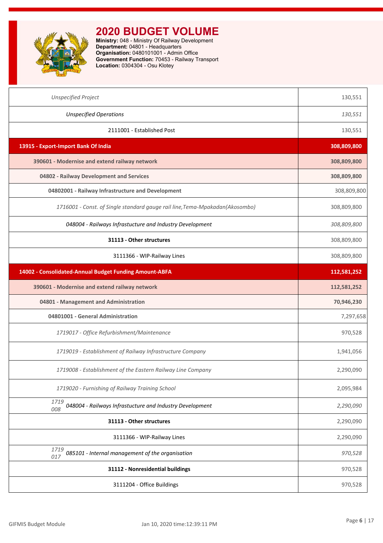

| <b>Unspecified Project</b>                                                   | 130,551     |
|------------------------------------------------------------------------------|-------------|
| <b>Unspecified Operations</b>                                                | 130,551     |
| 2111001 - Established Post                                                   | 130,551     |
| 13915 - Export-Import Bank Of India                                          | 308,809,800 |
| 390601 - Modernise and extend railway network                                | 308,809,800 |
| 04802 - Railway Development and Services                                     | 308,809,800 |
| 04802001 - Railway Infrastructure and Development                            | 308,809,800 |
| 1716001 - Const. of Single standard gauge rail line, Tema-Mpakadan(Akosombo) | 308,809,800 |
| 048004 - Railways Infrastucture and Industry Development                     | 308,809,800 |
| 31113 - Other structures                                                     | 308,809,800 |
| 3111366 - WIP-Railway Lines                                                  | 308,809,800 |
| 14002 - Consolidated-Annual Budget Funding Amount-ABFA                       | 112,581,252 |
| 390601 - Modernise and extend railway network                                | 112,581,252 |
| 04801 - Management and Administration                                        | 70,946,230  |
| 04801001 - General Administration                                            | 7,297,658   |
| 1719017 - Office Refurbishment/Maintenance                                   | 970,528     |
| 1719019 - Establishment of Railway Infrastructure Company                    | 1,941,056   |
| 1719008 - Establishment of the Eastern Railway Line Company                  | 2,290,090   |
| 1719020 - Furnishing of Railway Training School                              | 2,095,984   |
| 1719<br>048004 - Railways Infrastucture and Industry Development<br>008      | 2,290,090   |
| 31113 - Other structures                                                     | 2,290,090   |
| 3111366 - WIP-Railway Lines                                                  | 2,290,090   |
| 1719<br>085101 - Internal management of the organisation<br>017              | 970,528     |
| 31112 - Nonresidential buildings                                             | 970,528     |
| 3111204 - Office Buildings                                                   | 970,528     |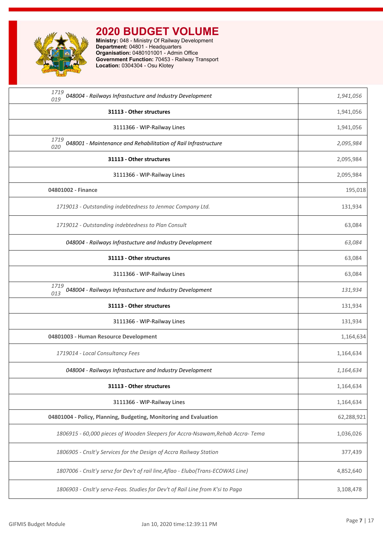

| 1719<br>048004 - Railways Infrastucture and Industry Development<br>019           | 1,941,056  |
|-----------------------------------------------------------------------------------|------------|
| 31113 - Other structures                                                          | 1,941,056  |
| 3111366 - WIP-Railway Lines                                                       | 1,941,056  |
| 1719<br>048001 - Maintenance and Rehabilitation of Rail Infrastructure<br>020     | 2,095,984  |
| 31113 - Other structures                                                          | 2,095,984  |
| 3111366 - WIP-Railway Lines                                                       | 2,095,984  |
| 04801002 - Finance                                                                | 195,018    |
| 1719013 - Outstanding indebtedness to Jenmac Company Ltd.                         | 131,934    |
| 1719012 - Outstanding indebtedness to Plan Consult                                | 63,084     |
| 048004 - Railways Infrastucture and Industry Development                          | 63,084     |
| 31113 - Other structures                                                          | 63,084     |
| 3111366 - WIP-Railway Lines                                                       | 63,084     |
| 1719<br>048004 - Railways Infrastucture and Industry Development<br>013           | 131,934    |
| 31113 - Other structures                                                          | 131,934    |
| 3111366 - WIP-Railway Lines                                                       | 131,934    |
| 04801003 - Human Resource Development                                             | 1,164,634  |
| 1719014 - Local Consultancy Fees                                                  | 1,164,634  |
| 048004 - Railways Infrastucture and Industry Development                          | 1,164,634  |
| 31113 - Other structures                                                          | 1,164,634  |
| 3111366 - WIP-Railway Lines                                                       | 1,164,634  |
| 04801004 - Policy, Planning, Budgeting, Monitoring and Evaluation                 | 62,288,921 |
| 1806915 - 60,000 pieces of Wooden Sleepers for Accra-Nsawam, Rehab Accra-Tema     | 1,036,026  |
| 1806905 - Cnslt'y Services for the Design of Accra Railway Station                | 377,439    |
| 1807006 - Cnslt'y servz for Dev't of rail line, Aflao - Elubo (Trans-ECOWAS Line) | 4,852,640  |
| 1806903 - Cnslt'y servz-Feas. Studies for Dev't of Rail Line from K'si to Paga    | 3,108,478  |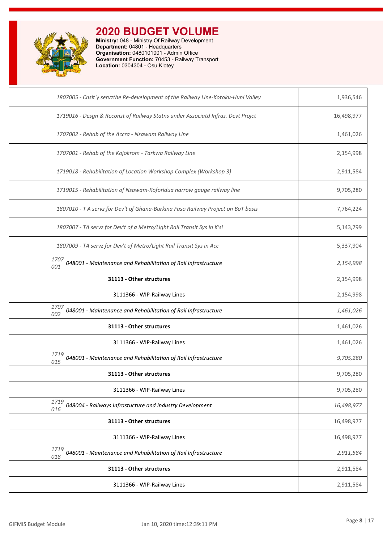

| 1807005 - Cnslt'y servzthe Re-development of the Railway Line-Kotoku-Huni Valley | 1,936,546  |
|----------------------------------------------------------------------------------|------------|
| 1719016 - Desgn & Reconst of Railway Statns under Associatd Infras. Devt Projct  | 16,498,977 |
| 1707002 - Rehab of the Accra - Nsawam Railway Line                               | 1,461,026  |
| 1707001 - Rehab of the Kojokrom - Tarkwa Railway Line                            | 2,154,998  |
| 1719018 - Rehabilitation of Location Workshop Complex (Workshop 3)               | 2,911,584  |
| 1719015 - Rehabilitation of Nsawam-Koforidua narrow gauge railway line           | 9,705,280  |
| 1807010 - T A servz for Dev't of Ghana-Burkina Faso Railway Project on BoT basis | 7,764,224  |
| 1807007 - TA servz for Dev't of a Metro/Light Rail Transit Sys in K'si           | 5,143,799  |
| 1807009 - TA servz for Dev't of Metro/Light Rail Transit Sys in Acc              | 5,337,904  |
| 1707<br>048001 - Maintenance and Rehabilitation of Rail Infrastructure<br>001    | 2,154,998  |
| 31113 - Other structures                                                         | 2,154,998  |
| 3111366 - WIP-Railway Lines                                                      | 2,154,998  |
| 1707<br>048001 - Maintenance and Rehabilitation of Rail Infrastructure<br>002    | 1,461,026  |
| 31113 - Other structures                                                         | 1,461,026  |
| 3111366 - WIP-Railway Lines                                                      | 1,461,026  |
| 1719<br>048001 - Maintenance and Rehabilitation of Rail Infrastructure<br>015    | 9,705,280  |
| 31113 - Other structures                                                         | 9,705,280  |
| 3111366 - WIP-Railway Lines                                                      | 9,705,280  |
| 1719<br>048004 - Railways Infrastucture and Industry Development<br>016          | 16,498,977 |
| 31113 - Other structures                                                         | 16,498,977 |
| 3111366 - WIP-Railway Lines                                                      | 16,498,977 |
| 1719<br>048001 - Maintenance and Rehabilitation of Rail Infrastructure<br>018    | 2,911,584  |
| 31113 - Other structures                                                         | 2,911,584  |
| 3111366 - WIP-Railway Lines                                                      | 2,911,584  |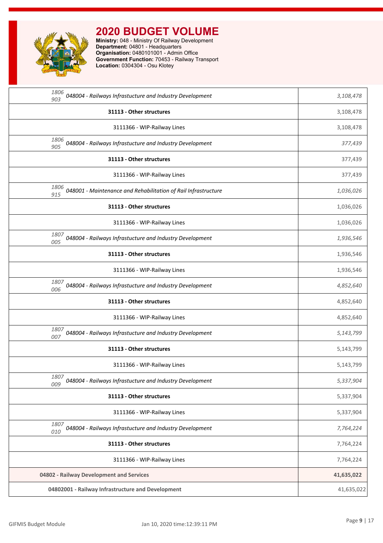

| 1806<br>048004 - Railways Infrastucture and Industry Development<br>903       | 3,108,478  |
|-------------------------------------------------------------------------------|------------|
| 31113 - Other structures                                                      | 3,108,478  |
| 3111366 - WIP-Railway Lines                                                   | 3,108,478  |
| 1806<br>048004 - Railways Infrastucture and Industry Development<br>905       | 377,439    |
| 31113 - Other structures                                                      | 377,439    |
| 3111366 - WIP-Railway Lines                                                   | 377,439    |
| 1806<br>048001 - Maintenance and Rehabilitation of Rail Infrastructure<br>915 | 1,036,026  |
| 31113 - Other structures                                                      | 1,036,026  |
| 3111366 - WIP-Railway Lines                                                   | 1,036,026  |
| 1807<br>048004 - Railways Infrastucture and Industry Development<br>005       | 1,936,546  |
| 31113 - Other structures                                                      | 1,936,546  |
| 3111366 - WIP-Railway Lines                                                   | 1,936,546  |
| 1807<br>048004 - Railways Infrastucture and Industry Development<br>006       | 4,852,640  |
| 31113 - Other structures                                                      | 4,852,640  |
| 3111366 - WIP-Railway Lines                                                   | 4,852,640  |
| 1807<br>048004 - Railways Infrastucture and Industry Development<br>007       | 5,143,799  |
| 31113 - Other structures                                                      | 5,143,799  |
| 3111366 - WIP-Railway Lines                                                   | 5,143,799  |
| 1807<br>048004 - Railways Infrastucture and Industry Development<br>009       | 5,337,904  |
| 31113 - Other structures                                                      | 5,337,904  |
| 3111366 - WIP-Railway Lines                                                   | 5,337,904  |
| 1807<br>048004 - Railways Infrastucture and Industry Development<br>010       | 7,764,224  |
| 31113 - Other structures                                                      | 7,764,224  |
| 3111366 - WIP-Railway Lines                                                   | 7,764,224  |
| 04802 - Railway Development and Services                                      | 41,635,022 |
| 04802001 - Railway Infrastructure and Development                             | 41,635,022 |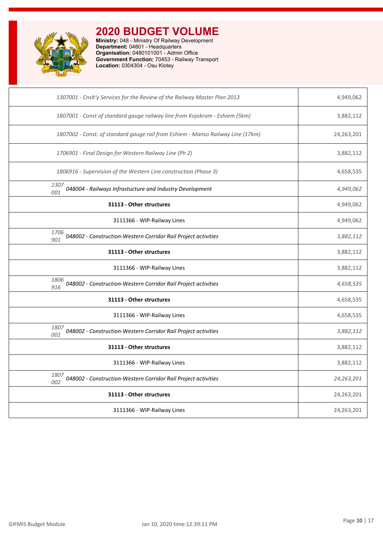

| 1307001 - Cnslt'y Services for the Review of the Railway Master Plan 2013       | 4,949,062  |
|---------------------------------------------------------------------------------|------------|
| 1807001 - Const of standard gauge railway line from Kojokrom - Eshiem (5km)     | 3,882,112  |
| 1807002 - Const. of standard gauge rail from Eshiem - Manso Railway Line (17km) | 24,263,201 |
| 1706901 - Final Design for Western Railway Line (Ph 2)                          | 3,882,112  |
| 1806916 - Supervision of the Western Line construction (Phase 3)                | 4,658,535  |
| 1307<br>048004 - Railways Infrastucture and Industry Development<br>001         | 4,949,062  |
| 31113 - Other structures                                                        | 4,949,062  |
| 3111366 - WIP-Railway Lines                                                     | 4,949,062  |
| 1706<br>048002 - Construction-Western Corridor Rail Project activities<br>901   | 3,882,112  |
| 31113 - Other structures                                                        | 3,882,112  |
| 3111366 - WIP-Railway Lines                                                     | 3,882,112  |
| 1806<br>048002 - Construction-Western Corridor Rail Project activities<br>916   | 4,658,535  |
| 31113 - Other structures                                                        | 4,658,535  |
| 3111366 - WIP-Railway Lines                                                     | 4,658,535  |
| 1807<br>048002 - Construction-Western Corridor Rail Project activities<br>001   | 3,882,112  |
| 31113 - Other structures                                                        | 3,882,112  |
| 3111366 - WIP-Railway Lines                                                     | 3,882,112  |
| 1807<br>048002 - Construction-Western Corridor Rail Project activities<br>002   | 24,263,201 |
| 31113 - Other structures                                                        | 24,263,201 |
| 3111366 - WIP-Railway Lines                                                     | 24,263,201 |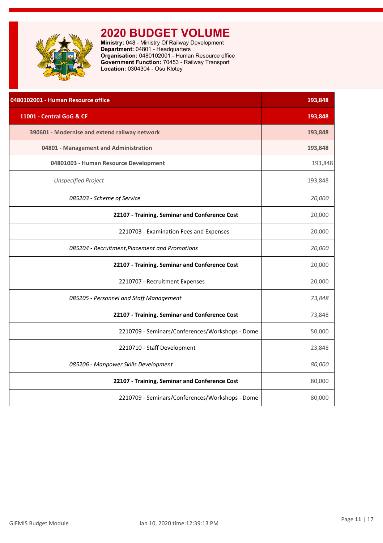<span id="page-11-0"></span>

| 0480102001 - Human Resource office              | 193,848 |
|-------------------------------------------------|---------|
| 11001 - Central GoG & CF                        | 193,848 |
| 390601 - Modernise and extend railway network   | 193,848 |
| 04801 - Management and Administration           | 193,848 |
| 04801003 - Human Resource Development           | 193,848 |
| <b>Unspecified Project</b>                      | 193,848 |
| 085203 - Scheme of Service                      | 20,000  |
| 22107 - Training, Seminar and Conference Cost   | 20,000  |
| 2210703 - Examination Fees and Expenses         | 20,000  |
| 085204 - Recruitment, Placement and Promotions  | 20,000  |
| 22107 - Training, Seminar and Conference Cost   | 20,000  |
| 2210707 - Recruitment Expenses                  | 20,000  |
| 085205 - Personnel and Staff Management         | 73,848  |
| 22107 - Training, Seminar and Conference Cost   | 73,848  |
| 2210709 - Seminars/Conferences/Workshops - Dome | 50,000  |
| 2210710 - Staff Development                     | 23,848  |
| 085206 - Manpower Skills Development            | 80,000  |
| 22107 - Training, Seminar and Conference Cost   | 80,000  |
| 2210709 - Seminars/Conferences/Workshops - Dome | 80,000  |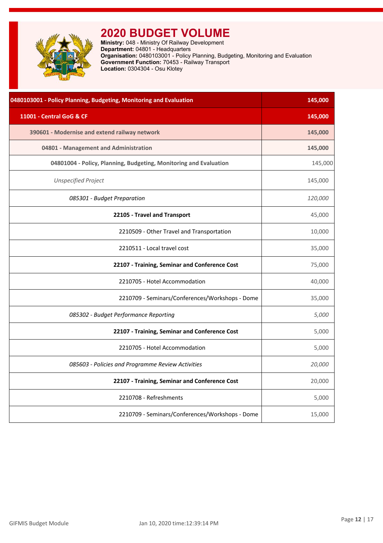<span id="page-12-0"></span>

**Ministry:** 048 - Ministry Of Railway Development **Department:** 04801 - Headquarters **Organisation:** 0480103001 - Policy Planning, Budgeting, Monitoring and Evaluation **Government Function:** 70453 - Railway Transport **Location:** 0304304 - Osu Klotey

| 0480103001 - Policy Planning, Budgeting, Monitoring and Evaluation | 145,000 |
|--------------------------------------------------------------------|---------|
| 11001 - Central GoG & CF                                           | 145,000 |
| 390601 - Modernise and extend railway network                      | 145,000 |
| 04801 - Management and Administration                              | 145,000 |
| 04801004 - Policy, Planning, Budgeting, Monitoring and Evaluation  | 145,000 |
| <b>Unspecified Project</b>                                         | 145,000 |
| 085301 - Budget Preparation                                        | 120,000 |
| 22105 - Travel and Transport                                       | 45,000  |
| 2210509 - Other Travel and Transportation                          | 10,000  |
| 2210511 - Local travel cost                                        | 35,000  |
| 22107 - Training, Seminar and Conference Cost                      | 75,000  |
| 2210705 - Hotel Accommodation                                      | 40,000  |
| 2210709 - Seminars/Conferences/Workshops - Dome                    | 35,000  |
| 085302 - Budget Performance Reporting                              | 5,000   |
| 22107 - Training, Seminar and Conference Cost                      | 5,000   |
| 2210705 - Hotel Accommodation                                      | 5,000   |
| 085603 - Policies and Programme Review Activities                  | 20,000  |
| 22107 - Training, Seminar and Conference Cost                      | 20,000  |
| 2210708 - Refreshments                                             | 5,000   |
| 2210709 - Seminars/Conferences/Workshops - Dome                    | 15,000  |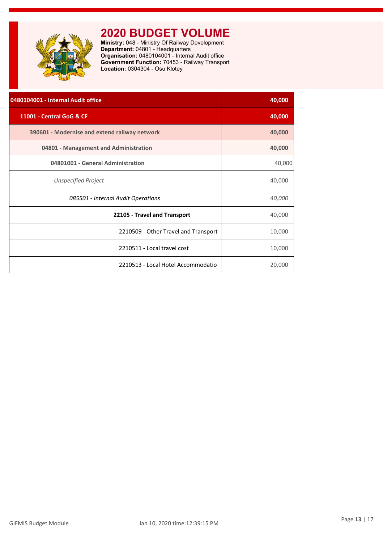<span id="page-13-0"></span>

| 0480104001 - Internal Audit office            | 40,000 |
|-----------------------------------------------|--------|
| 11001 - Central GoG & CF                      | 40,000 |
| 390601 - Modernise and extend railway network | 40,000 |
| 04801 - Management and Administration         | 40,000 |
| 04801001 - General Administration             | 40,000 |
| Unspecified Project                           | 40,000 |
| 085501 - Internal Audit Operations            | 40,000 |
| 22105 - Travel and Transport                  | 40,000 |
| 2210509 - Other Travel and Transport          | 10,000 |
| 2210511 - Local travel cost                   | 10,000 |
| 2210513 - Local Hotel Accommodatio            | 20,000 |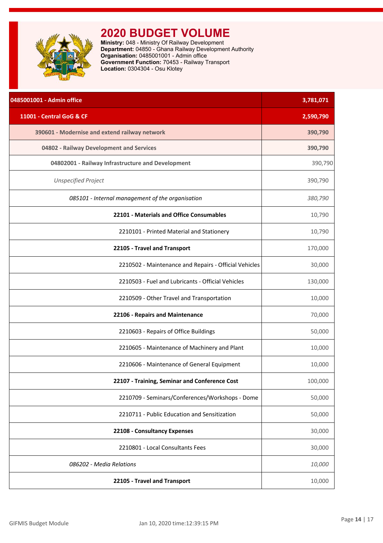<span id="page-14-0"></span>

| 0485001001 - Admin office                             | 3,781,071 |
|-------------------------------------------------------|-----------|
| 11001 - Central GoG & CF                              | 2,590,790 |
| 390601 - Modernise and extend railway network         | 390,790   |
| 04802 - Railway Development and Services              | 390,790   |
| 04802001 - Railway Infrastructure and Development     | 390,790   |
| <b>Unspecified Project</b>                            | 390,790   |
| 085101 - Internal management of the organisation      | 380,790   |
| 22101 - Materials and Office Consumables              | 10,790    |
| 2210101 - Printed Material and Stationery             | 10,790    |
| 22105 - Travel and Transport                          | 170,000   |
| 2210502 - Maintenance and Repairs - Official Vehicles | 30,000    |
| 2210503 - Fuel and Lubricants - Official Vehicles     | 130,000   |
| 2210509 - Other Travel and Transportation             | 10,000    |
| 22106 - Repairs and Maintenance                       | 70,000    |
| 2210603 - Repairs of Office Buildings                 | 50,000    |
| 2210605 - Maintenance of Machinery and Plant          | 10,000    |
| 2210606 - Maintenance of General Equipment            | 10,000    |
| 22107 - Training, Seminar and Conference Cost         | 100,000   |
| 2210709 - Seminars/Conferences/Workshops - Dome       | 50,000    |
| 2210711 - Public Education and Sensitization          | 50,000    |
| 22108 - Consultancy Expenses                          | 30,000    |
| 2210801 - Local Consultants Fees                      | 30,000    |
| 086202 - Media Relations                              | 10,000    |
| 22105 - Travel and Transport                          | 10,000    |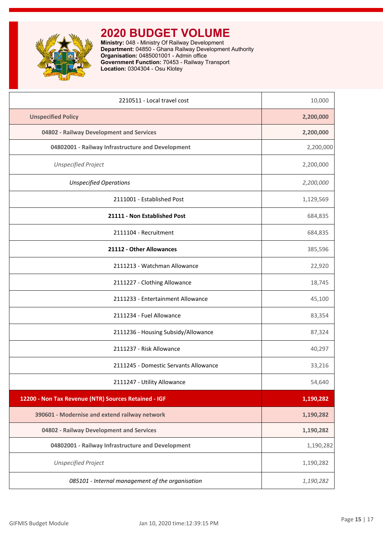

| 2210511 - Local travel cost                          | 10,000    |
|------------------------------------------------------|-----------|
| <b>Unspecified Policy</b>                            | 2,200,000 |
| 04802 - Railway Development and Services             | 2,200,000 |
| 04802001 - Railway Infrastructure and Development    | 2,200,000 |
| <b>Unspecified Project</b>                           | 2,200,000 |
| <b>Unspecified Operations</b>                        | 2,200,000 |
| 2111001 - Established Post                           | 1,129,569 |
| 21111 - Non Established Post                         | 684,835   |
| 2111104 - Recruitment                                | 684,835   |
| 21112 - Other Allowances                             | 385,596   |
| 2111213 - Watchman Allowance                         | 22,920    |
| 2111227 - Clothing Allowance                         | 18,745    |
| 2111233 - Entertainment Allowance                    | 45,100    |
| 2111234 - Fuel Allowance                             | 83,354    |
| 2111236 - Housing Subsidy/Allowance                  | 87,324    |
| 2111237 - Risk Allowance                             | 40,297    |
| 2111245 - Domestic Servants Allowance                | 33,216    |
| 2111247 - Utility Allowance                          | 54,640    |
| 12200 - Non Tax Revenue (NTR) Sources Retained - IGF | 1,190,282 |
| 390601 - Modernise and extend railway network        | 1,190,282 |
| 04802 - Railway Development and Services             | 1,190,282 |
| 04802001 - Railway Infrastructure and Development    | 1,190,282 |
| <b>Unspecified Project</b>                           | 1,190,282 |
| 085101 - Internal management of the organisation     | 1,190,282 |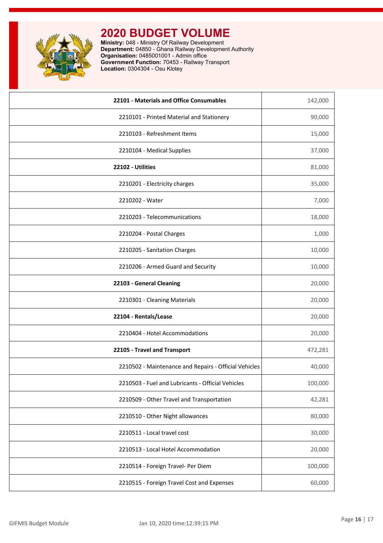

| 22101 - Materials and Office Consumables              | 142,000 |
|-------------------------------------------------------|---------|
| 2210101 - Printed Material and Stationery             | 90,000  |
| 2210103 - Refreshment Items                           | 15,000  |
| 2210104 - Medical Supplies                            | 37,000  |
| 22102 - Utilities                                     | 81,000  |
| 2210201 - Electricity charges                         | 35,000  |
| 2210202 - Water                                       | 7,000   |
| 2210203 - Telecommunications                          | 18,000  |
| 2210204 - Postal Charges                              | 1,000   |
| 2210205 - Sanitation Charges                          | 10,000  |
| 2210206 - Armed Guard and Security                    | 10,000  |
| 22103 - General Cleaning                              | 20,000  |
| 2210301 - Cleaning Materials                          | 20,000  |
| 22104 - Rentals/Lease                                 | 20,000  |
| 2210404 - Hotel Accommodations                        | 20,000  |
| 22105 - Travel and Transport                          | 472,281 |
| 2210502 - Maintenance and Repairs - Official Vehicles | 40,000  |
| 2210503 - Fuel and Lubricants - Official Vehicles     | 100,000 |
| 2210509 - Other Travel and Transportation             | 42,281  |
| 2210510 - Other Night allowances                      | 80,000  |
| 2210511 - Local travel cost                           | 30,000  |
| 2210513 - Local Hotel Accommodation                   | 20,000  |
| 2210514 - Foreign Travel- Per Diem                    | 100,000 |
| 2210515 - Foreign Travel Cost and Expenses            | 60,000  |